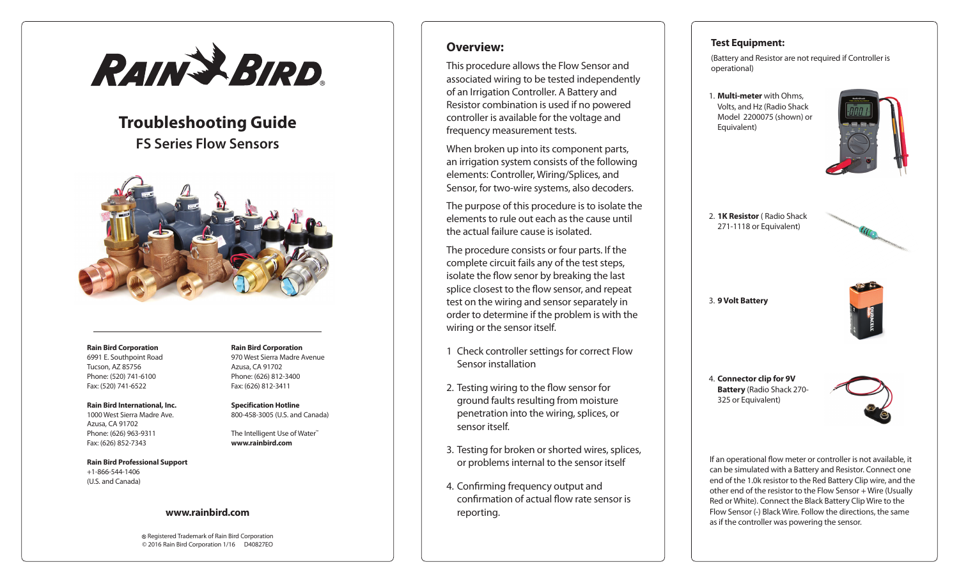

# **Troubleshooting Guide FS Series Flow Sensors**



#### **Rain Bird Corporation** 6991 E. Southpoint Road Tucson, AZ 85756 Phone: (520) 741-6100 Fax: (520) 741-6522

**Rain Bird International, Inc.**

1000 West Sierra Madre Ave. Azusa, CA 91702 Phone: (626) 963-9311 Fax: (626) 852-7343

**Rain Bird Professional Support** +1-866-544-1406 (U.S. and Canada)

#### **Rain Bird Corporation** 970 West Sierra Madre Avenue Azusa, CA 91702 Phone: (626) 812-3400 Fax: (626) 812-3411

**Specification Hotline** 800-458-3005 (U.S. and Canada)

The Intelligent Use of Water™ **www.rainbird.com**

#### **www.rainbird.com**

Registered Trademark of Rain Bird Corporation © 2016 Rain Bird Corporation 1/16 D40827EO

# **Overview:**

This procedure allows the Flow Sensor and associated wiring to be tested independently of an Irrigation Controller. A Battery and Resistor combination is used if no powered controller is available for the voltage and frequency measurement tests.

When broken up into its component parts, an irrigation system consists of the following elements: Controller, Wiring/Splices, and Sensor, for two-wire systems, also decoders.

The purpose of this procedure is to isolate the elements to rule out each as the cause until the actual failure cause is isolated.

The procedure consists or four parts. If the complete circuit fails any of the test steps, isolate the flow senor by breaking the last splice closest to the flow sensor, and repeat test on the wiring and sensor separately in order to determine if the problem is with the wiring or the sensor itself.

- 1 Check controller settings for correct Flow Sensor installation
- 2. Testing wiring to the flow sensor for ground faults resulting from moisture penetration into the wiring, splices, or sensor itself.
- 3. Testing for broken or shorted wires, splices, or problems internal to the sensor itself
- 4. Confirming frequency output and confirmation of actual flow rate sensor is reporting.

### **Test Equipment:**

(Battery and Resistor are not required if Controller is operational)

1. **Multi-meter** with Ohms, Volts, and Hz (Radio Shack Model 2200075 (shown) or Equivalent)



2. **1K Resistor** ( Radio Shack 271-1118 or Equivalent)

3. **9 Volt Battery**



4. **Connector clip for 9V Battery** (Radio Shack 270- 325 or Equivalent)



If an operational flow meter or controller is not available, it can be simulated with a Battery and Resistor. Connect one end of the 1.0k resistor to the Red Battery Clip wire, and the other end of the resistor to the Flow Sensor + Wire (Usually Red or White). Connect the Black Battery Clip Wire to the Flow Sensor (-) Black Wire. Follow the directions, the same as if the controller was powering the sensor.